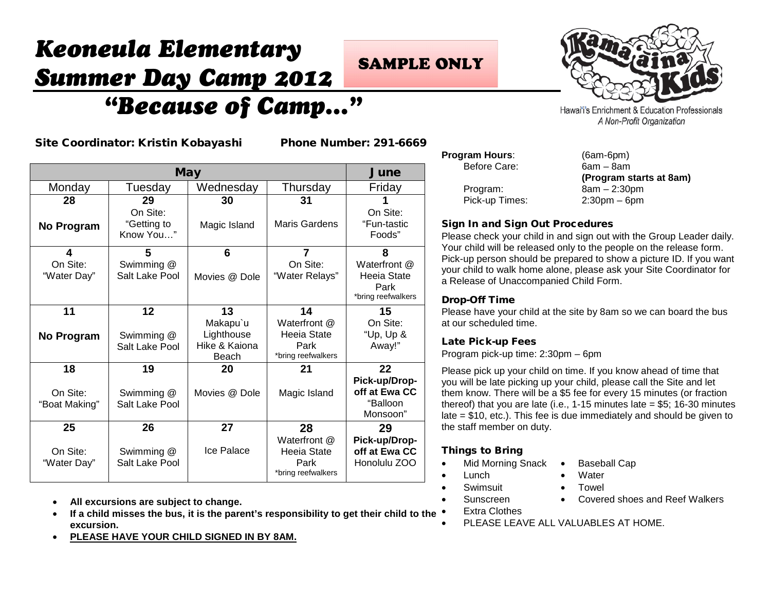# *Keoneula Elementary Summer Day Camp 2012 "Because of Camp…"*

## **SAMPLE ONLY**



Hawai'i's Enrichment & Education Professionals A Non-Profit Organization

Site Coordinator: Kristin Kobayashi Phone Number: 291-6669

| <b>May</b>                |                                      |                                                  | June                                                      |                                                           |
|---------------------------|--------------------------------------|--------------------------------------------------|-----------------------------------------------------------|-----------------------------------------------------------|
| Monday                    | Tuesday                              | Wednesday                                        | Thursday                                                  | Friday                                                    |
| 28                        | 29                                   | 30                                               | 31                                                        |                                                           |
| No Program                | On Site:<br>"Getting to<br>Know You" | Magic Island                                     | Maris Gardens                                             | On Site:<br>"Fun-tastic<br>Foods"                         |
| 4                         | 5                                    | 6                                                | $\overline{7}$                                            | 8                                                         |
| On Site:<br>"Water Day"   | Swimming @<br>Salt Lake Pool         | Movies @ Dole                                    | On Site:<br>"Water Relays"                                | Waterfront @<br>Heeia State<br>Park<br>*bring reefwalkers |
| 11                        | 12                                   | 13                                               | 14                                                        | 15                                                        |
| No Program                | Swimming @<br>Salt Lake Pool         | Makapu`u<br>Lighthouse<br>Hike & Kaiona<br>Beach | Waterfront @<br>Heeia State<br>Park<br>*bring reefwalkers | On Site:<br>"Up, Up $\&$<br>Away!"                        |
| 18                        | 19                                   | 20                                               | 21                                                        | 22                                                        |
| On Site:<br>"Boat Making" | Swimming @<br>Salt Lake Pool         | Movies @ Dole                                    | Magic Island                                              | Pick-up/Drop-<br>off at Ewa CC<br>"Balloon<br>Monsoon"    |
| 25                        | 26                                   | 27                                               | 28                                                        | 29                                                        |
| On Site:<br>"Water Day"   | Swimming @<br>Salt Lake Pool         | Ice Palace                                       | Waterfront @<br>Heeia State<br>Park<br>*bring reefwalkers | Pick-up/Drop-<br>off at Ewa CC<br>Honolulu ZOO            |

- **All excursions are subject to change.**
- **If a child misses the bus, it is the parent's responsibility to get their child to the excursion.**
- **PLEASE HAVE YOUR CHILD SIGNED IN BY 8AM.**

| <b>Program Hours:</b> | $(6am-6pm)$    |
|-----------------------|----------------|
| Before Care:          | $6am - 8am$    |
|                       | (Program s     |
| Program:              | $8am - 2:30$   |
| Pick-up Times:        | $2:30$ pm $-6$ |

 $6am - 8am$ **(Program starts at 8am)**  $8am - 2:30pm$  $2:30$ pm – 6pm

### Sign In and Sign Out Procedures

Please check your child in and sign out with the Group Leader daily. Your child will be released only to the people on the release form. Pick-up person should be prepared to show a picture ID. If you want your child to walk home alone, please ask your Site Coordinator for a Release of Unaccompanied Child Form.

#### Drop-Off Time

Please have your child at the site by 8am so we can board the bus at our scheduled time.

### Late Pick-up Fees

Program pick-up time: 2:30pm – 6pm

Please pick up your child on time. If you know ahead of time that you will be late picking up your child, please call the Site and let them know. There will be a \$5 fee for every 15 minutes (or fraction thereof) that you are late (i.e.,  $1-15$  minutes late = \$5; 16-30 minutes late = \$10, etc.). This fee is due immediately and should be given to the staff member on duty.

### Things to Bring

- Mid Morning Snack Baseball Cap
- Lunch Water
- - Swimsuit Towel
		- Sunscreen Covered shoes and Reef Walkers
	- **Extra Clothes**
- PLEASE LEAVE ALL VALUABLES AT HOME.